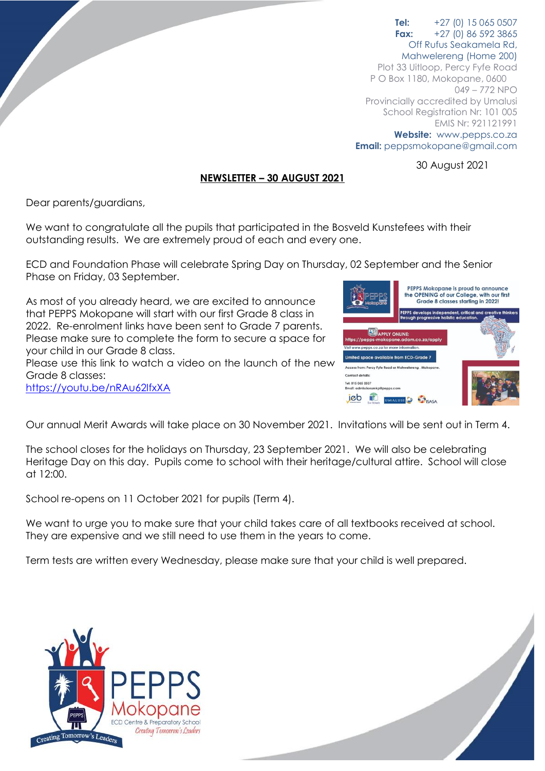## **Tel:** +27 (0) 15 065 0507 **Fax:** +27 (0) 86 592 3865 Off Rufus Seakamela Rd,

Mahwelereng (Home 200) Plot 33 Uitloop, Percy Fyfe Road P O Box 1180, Mokopane, 0600 049 – 772 NPO Provincially accredited by Umalusi School Registration Nr: 101 005 EMIS Nr: 921121991 **Website:** www.pepps.co.za **Email:** peppsmokopane@gmail.com

30 August 2021

## **NEWSLETTER – 30 AUGUST 2021**

Dear parents/guardians,

We want to congratulate all the pupils that participated in the Bosveld Kunstefees with their outstanding results. We are extremely proud of each and every one.

ECD and Foundation Phase will celebrate Spring Day on Thursday, 02 September and the Senior Phase on Friday, 03 September.

As most of you already heard, we are excited to announce that PEPPS Mokopane will start with our first Grade 8 class in 2022. Re-enrolment links have been sent to Grade 7 parents. Please make sure to complete the form to secure a space for your child in our Grade 8 class.

Please use this link to watch a video on the launch of the new Grade 8 classes:

<https://youtu.be/nRAu62IfxXA>



Our annual Merit Awards will take place on 30 November 2021. Invitations will be sent out in Term 4.

The school closes for the holidays on Thursday, 23 September 2021. We will also be celebrating Heritage Day on this day. Pupils come to school with their heritage/cultural attire. School will close at 12:00.

School re-opens on 11 October 2021 for pupils (Term 4).

We want to urge you to make sure that your child takes care of all textbooks received at school. They are expensive and we still need to use them in the years to come.

Term tests are written every Wednesday, please make sure that your child is well prepared.